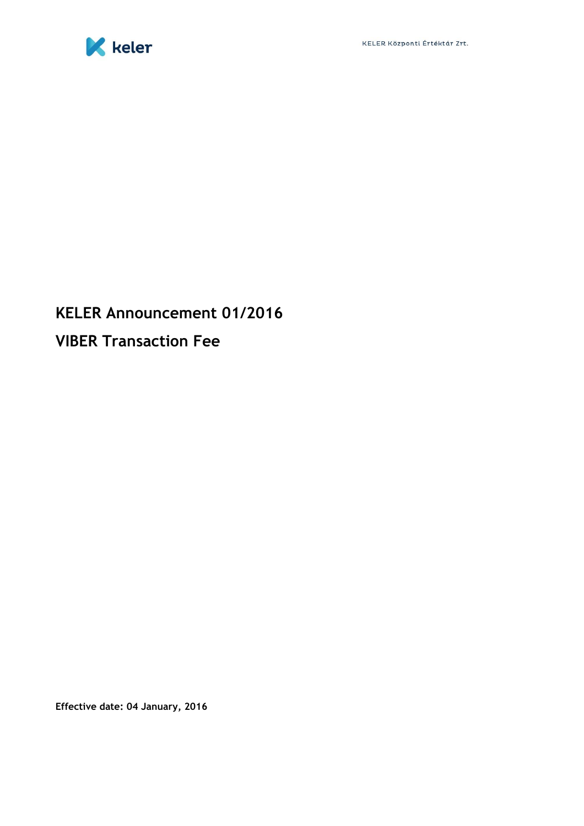

## **KELER Announcement 01/2016 VIBER Transaction Fee**

**Effective date: 04 January, 2016**